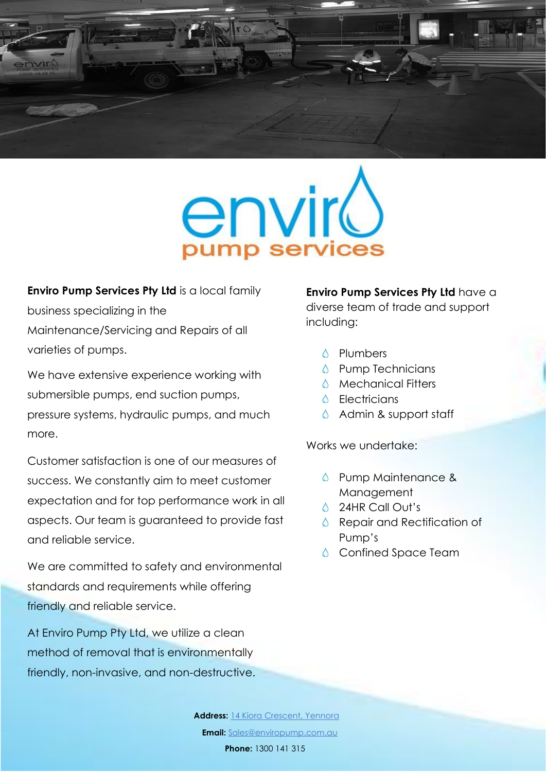



**Enviro Pump Services Pty Ltd** is a local family business specializing in the Maintenance/Servicing and Repairs of all varieties of pumps.

We have extensive experience working with submersible pumps, end suction pumps, pressure systems, hydraulic pumps, and much more.

Customer satisfaction is one of our measures of success. We constantly aim to meet customer expectation and for top performance work in all aspects. Our team is guaranteed to provide fast and reliable service.

We are committed to safety and environmental standards and requirements while offering friendly and reliable service.

At Enviro Pump Pty Ltd, we utilize a clean method of removal that is environmentally friendly, non-invasive, and non-destructive. **Enviro Pump Services Pty Ltd** have a diverse team of trade and support including:

- **△ Plumbers**
- $\Diamond$  Pump Technicians
- $\land$  Mechanical Fitters
- **6** Flectricians
- Admin & support staff

Works we undertake:

- **S** Pump Maintenance & Management
- **4** 24HR Call Out's
- Repair and Rectification of Pump's
- **△** Confined Space Team

**Email:** [Sales@enviropump.com.au](mailto:Sales@enviropump.com.au) **Address:** 14 Kiora Crescent, Yennora **Phone:** 1300 141 315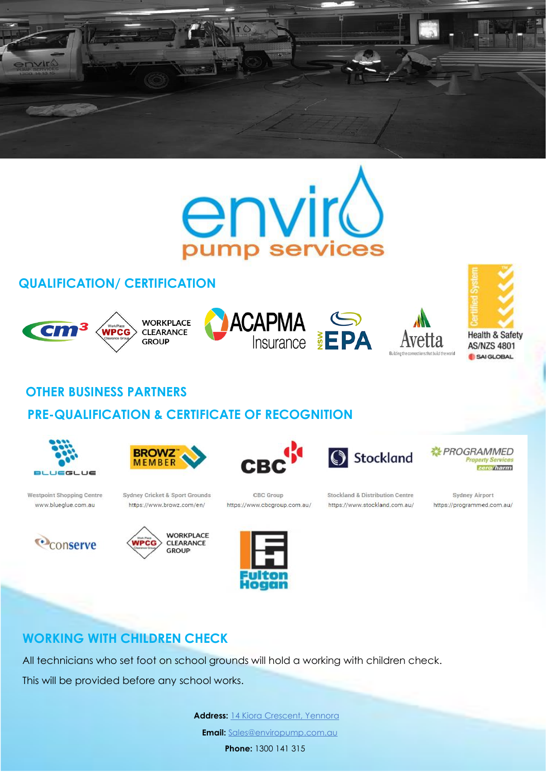



# **QUALIFICATION/ CERTIFICATION**



## **OTHER BUSINESS PARTNERS**

#### **PRE-QUALIFICATION & CERTIFICATE OF RECOGNITION**



**Westpoint Shopping Centre** 

www.blueglue.com.au













**Stockland & Distribution Centre** https://www.stockland.com.au/

Stockland



**Sydney Airport** https://programmed.com.au/



## **WORKING WITH CHILDREN CHECK**

All technicians who set foot on school grounds will hold a working with children check.

This will be provided before any school works.

Address: 14 Kiora Crescent, Yennora

**Email:** [Sales@enviropump.com.au](mailto:Sales@enviropump.com.au)

**Phone:** 1300 141 315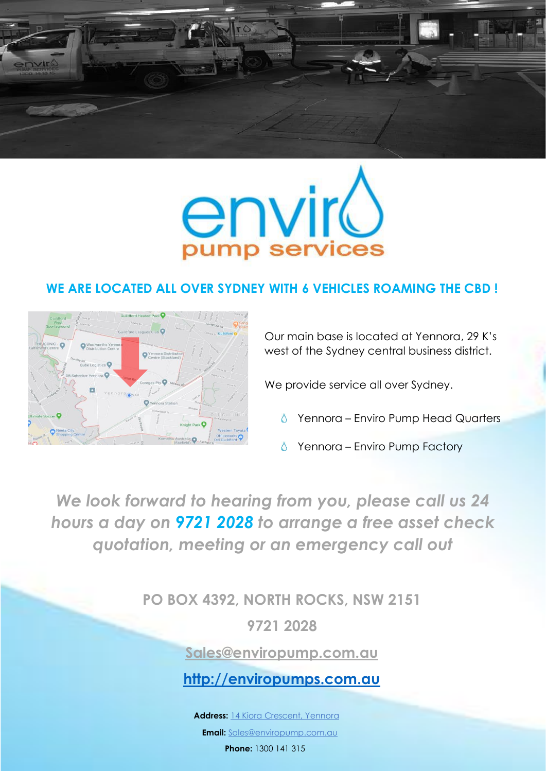



#### **WE ARE LOCATED ALL OVER SYDNEY WITH 6 VEHICLES ROAMING THE CBD !**



Our main base is located at Yennora, 29 K's west of the Sydney central business district.

We provide service all over Sydney.

- Yennora Enviro Pump Head Quarters
- Yennora Enviro Pump Factory

*We look forward to hearing from you, please call us 24 hours a day on 9721 2028 to arrange a free asset check quotation, meeting or an emergency call out*

**PO BOX 4392, NORTH ROCKS, NSW 2151**

**9721 2028**

**[Sales@enviropump.com.au](mailto:Sales@enviropump.com.au)**

**[http://enviropumps.com.au](http://enviropumps.com.au/)**

**Address:** 14 Kiora Crescent, Yennora

**Email:** [Sales@enviropump.com.au](mailto:Sales@enviropump.com.au)

**Phone:** 1300 141 315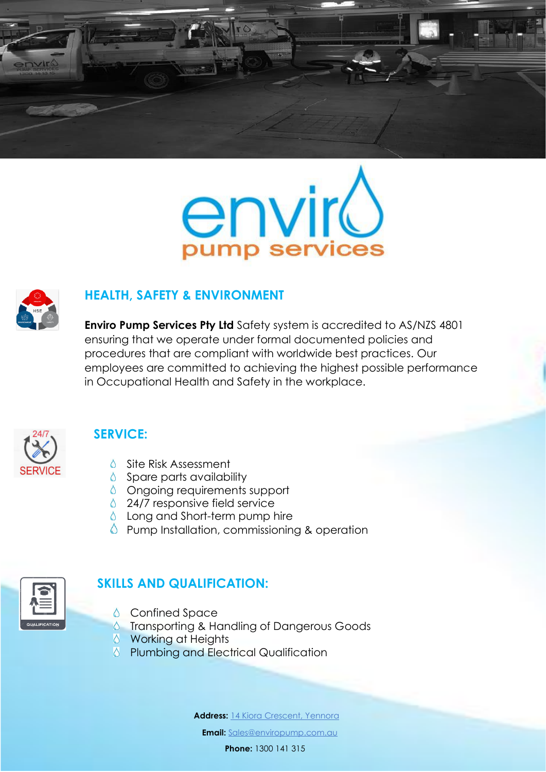





#### **HEALTH, SAFETY & ENVIRONMENT**

**Enviro Pump Services Pty Ltd** Safety system is accredited to AS/NZS 4801 ensuring that we operate under formal documented policies and procedures that are compliant with worldwide best practices. Our employees are committed to achieving the highest possible performance in Occupational Health and Safety in the workplace.



## **SERVICE:**

- Site Risk Assessment
- $\Diamond$  Spare parts availability
- $\Diamond$  Ongoing requirements support
- ♦ 24/7 responsive field service
- $\Diamond$  Long and Short-term pump hire
- **C** Pump Installation, commissioning & operation



# **SKILLS AND QUALIFICATION:**

- **△** Confined Space
- Transporting & Handling of Dangerous Goods
- **S** Working at Heights
- **S** Plumbing and Electrical Qualification

**Address:** 14 Kiora Crescent, Yennora

**Email:** [Sales@enviropump.com.au](mailto:Sales@enviropump.com.au)

**Phone:** 1300 141 315